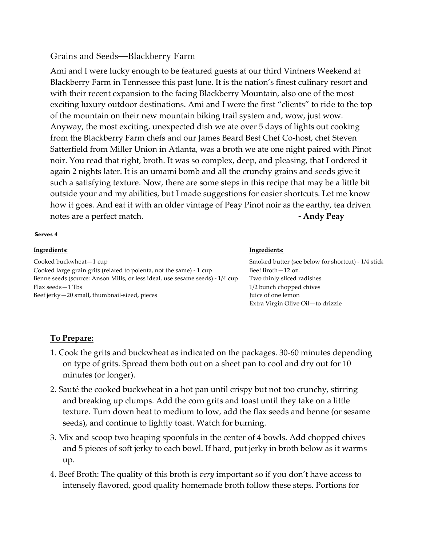## Grains and Seeds—Blackberry Farm

Ami and I were lucky enough to be featured guests at our third Vintners Weekend at Blackberry Farm in Tennessee this past June. It is the nation's finest culinary resort and with their recent expansion to the facing Blackberry Mountain, also one of the most exciting luxury outdoor destinations. Ami and I were the first "clients" to ride to the top of the mountain on their new mountain biking trail system and, wow, just wow. Anyway, the most exciting, unexpected dish we ate over 5 days of lights out cooking from the Blackberry Farm chefs and our James Beard Best Chef Co-host, chef Steven Satterfield from Miller Union in Atlanta, was a broth we ate one night paired with Pinot noir. You read that right, broth. It was so complex, deep, and pleasing, that I ordered it again 2 nights later. It is an umami bomb and all the crunchy grains and seeds give it such a satisfying texture. Now, there are some steps in this recipe that may be a little bit outside your and my abilities, but I made suggestions for easier shortcuts. Let me know how it goes. And eat it with an older vintage of Peay Pinot noir as the earthy, tea driven notes are a perfect match. **- Andy Peay**

## **Serves 4**

| Ingredients:                                                                 | Ingredients:                                       |
|------------------------------------------------------------------------------|----------------------------------------------------|
| Cooked buckwheat-1 cup                                                       | Smoked butter (see below for shortcut) - 1/4 stick |
| Cooked large grain grits (related to polenta, not the same) - 1 cup          | Beef Broth - 12 oz.                                |
| Benne seeds (source: Anson Mills, or less ideal, use sesame seeds) - 1/4 cup | Two thinly sliced radishes                         |
| Flax seeds - 1 Tbs                                                           | 1/2 bunch chopped chives                           |
| Beef jerky-20 small, thumbnail-sized, pieces                                 | Juice of one lemon                                 |
|                                                                              | Extra Virgin Olive Oil-to drizzle                  |

## **To Prepare:**

- 1. Cook the grits and buckwheat as indicated on the packages. 30-60 minutes depending on type of grits. Spread them both out on a sheet pan to cool and dry out for 10 minutes (or longer).
- 2. Sauté the cooked buckwheat in a hot pan until crispy but not too crunchy, stirring and breaking up clumps. Add the corn grits and toast until they take on a little texture. Turn down heat to medium to low, add the flax seeds and benne (or sesame seeds), and continue to lightly toast. Watch for burning.
- 3. Mix and scoop two heaping spoonfuls in the center of 4 bowls. Add chopped chives and 5 pieces of soft jerky to each bowl. If hard, put jerky in broth below as it warms up.
- 4. Beef Broth: The quality of this broth is *very* important so if you don't have access to intensely flavored, good quality homemade broth follow these steps. Portions for